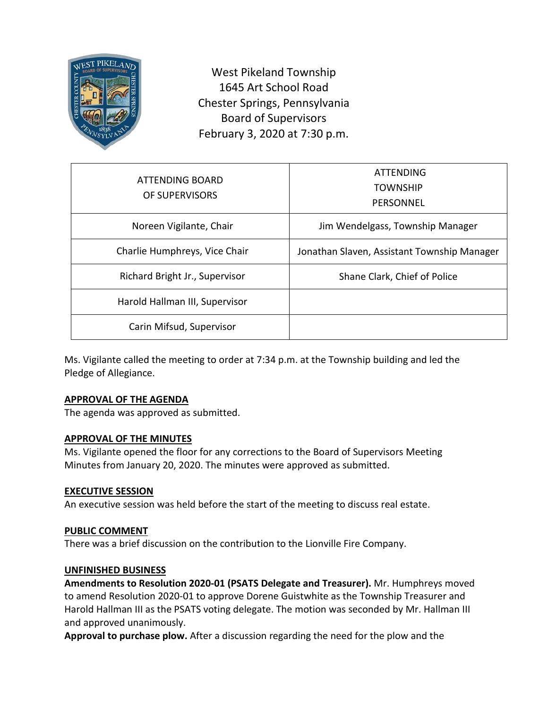

West Pikeland Township 1645 Art School Road Chester Springs, Pennsylvania Board of Supervisors February 3, 2020 at 7:30 p.m.

| ATTENDING BOARD<br>OF SUPERVISORS | ATTENDING<br><b>TOWNSHIP</b><br>PERSONNEL   |
|-----------------------------------|---------------------------------------------|
| Noreen Vigilante, Chair           | Jim Wendelgass, Township Manager            |
| Charlie Humphreys, Vice Chair     | Jonathan Slaven, Assistant Township Manager |
| Richard Bright Jr., Supervisor    | Shane Clark, Chief of Police                |
| Harold Hallman III, Supervisor    |                                             |
| Carin Mifsud, Supervisor          |                                             |

Ms. Vigilante called the meeting to order at 7:34 p.m. at the Township building and led the Pledge of Allegiance.

### **APPROVAL OF THE AGENDA**

The agenda was approved as submitted.

### **APPROVAL OF THE MINUTES**

Ms. Vigilante opened the floor for any corrections to the Board of Supervisors Meeting Minutes from January 20, 2020. The minutes were approved as submitted.

### **EXECUTIVE SESSION**

An executive session was held before the start of the meeting to discuss real estate.

### **PUBLIC COMMENT**

There was a brief discussion on the contribution to the Lionville Fire Company.

#### **UNFINISHED BUSINESS**

**Amendments to Resolution 2020-01 (PSATS Delegate and Treasurer).** Mr. Humphreys moved to amend Resolution 2020-01 to approve Dorene Guistwhite as the Township Treasurer and Harold Hallman III as the PSATS voting delegate. The motion was seconded by Mr. Hallman III and approved unanimously.

**Approval to purchase plow.** After a discussion regarding the need for the plow and the